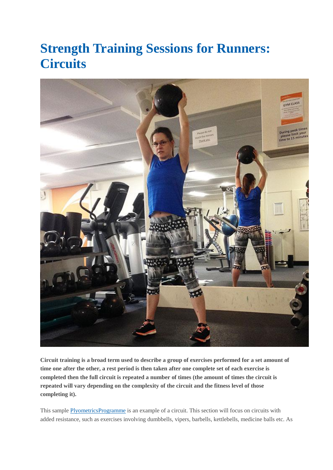# **Strength Training Sessions for Runners: Circuits**



**Circuit training is a broad term used to describe a group of exercises performed for a set amount of time one after the other, a rest period is then taken after one complete set of each exercise is completed then the full circuit is repeated a number of times (the amount of times the circuit is repeated will vary depending on the complexity of the circuit and the fitness level of those completing it).** 

This sample **PlyometricsProgramme** is an example of a circuit. This section will focus on circuits with added resistance, such as exercises involving dumbbells, vipers, barbells, kettlebells, medicine balls etc. As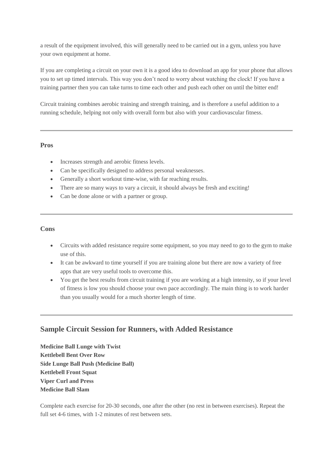a result of the equipment involved, this will generally need to be carried out in a gym, unless you have your own equipment at home.

If you are completing a circuit on your own it is a good idea to download an app for your phone that allows you to set up timed intervals. This way you don't need to worry about watching the clock! If you have a training partner then you can take turns to time each other and push each other on until the bitter end!

Circuit training combines aerobic training and strength training, and is therefore a useful addition to a running schedule, helping not only with overall form but also with your cardiovascular fitness.

## **Pros**

- Increases strength and aerobic fitness levels.
- Can be specifically designed to address personal weaknesses.
- Generally a short workout time-wise, with far reaching results.
- There are so many ways to vary a circuit, it should always be fresh and exciting!
- Can be done alone or with a partner or group.

## **Cons**

- Circuits with added resistance require some equipment, so you may need to go to the gym to make use of this.
- It can be awkward to time yourself if you are training alone but there are now a variety of free apps that are very useful tools to overcome this.
- You get the best results from circuit training if you are working at a high intensity, so if your level of fitness is low you should choose your own pace accordingly. The main thing is to work harder than you usually would for a much shorter length of time.

## **Sample Circuit Session for Runners, with Added Resistance**

**Medicine Ball Lunge with Twist Kettlebell Bent Over Row Side Lunge Ball Push (Medicine Ball) Kettlebell Front Squat Viper Curl and Press Medicine Ball Slam**

Complete each exercise for 20-30 seconds, one after the other (no rest in between exercises). Repeat the full set 4-6 times, with 1-2 minutes of rest between sets.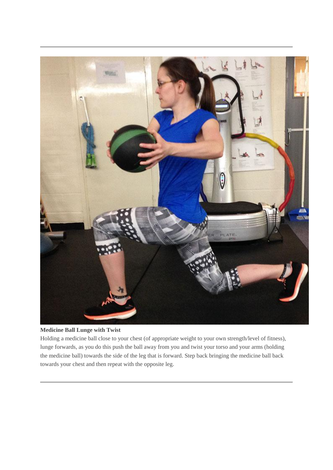

**Medicine Ball Lunge with Twist**

Holding a medicine ball close to your chest (of appropriate weight to your own strength/level of fitness), lunge forwards, as you do this push the ball away from you and twist your torso and your arms (holding the medicine ball) towards the side of the leg that is forward. Step back bringing the medicine ball back towards your chest and then repeat with the opposite leg.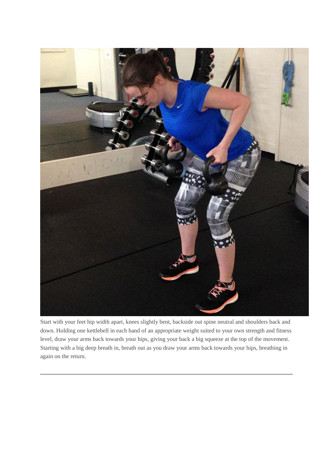

Start with your feet hip width apart, knees slightly bent, backside out spine neutral and shoulders back and down. Holding one kettlebell in each hand of an appropriate weight suited to your own strength and fitness level, draw your arms back towards your hips, giving your back a big squeeze at the top of the movement. Starting with a big deep breath in, breath out as you draw your arms back towards your hips, breathing in again on the return.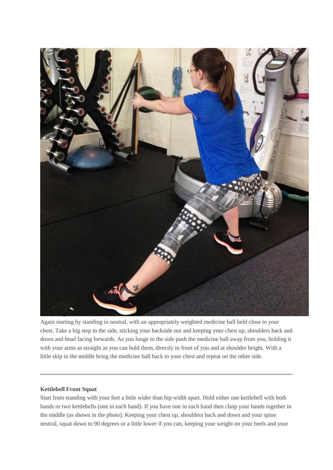

Again starting by standing in neutral, with an appropriately weighted medicine ball held close to your chest. Take a big step to the side, sticking your backside out and keeping your chest up, shoulders back and down and head facing forwards. As you lunge to the side push the medicine ball away from you, holding it with your arms as straight as you can hold them, directly in front of you and at shoulder height. With a little skip in the middle bring the medicine ball back to your chest and repeat on the other side.

### **Kettlebell Front Squat**

Start from standing with your feet a little wider than hip width apart. Hold either one kettlebell with both hands or two kettlebells (one in each hand). If you have one in each hand then clasp your hands together in the middle (as shown in the photo). Keeping your chest up, shoulders back and down and your spine neutral, squat down to 90 degrees or a little lower if you can, keeping your weight on your heels and your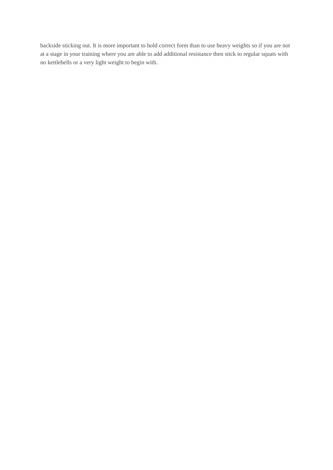backside sticking out. It is more important to hold correct form than to use heavy weights so if you are not at a stage in your training where you are able to add additional resistance then stick to regular squats with no kettlebells or a very light weight to begin with.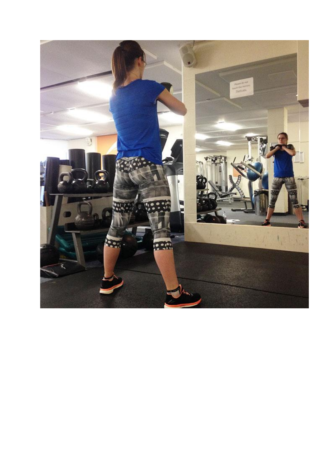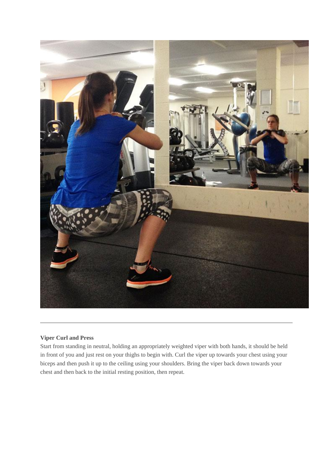

## **Viper Curl and Press**

Start from standing in neutral, holding an appropriately weighted viper with both hands, it should be held in front of you and just rest on your thighs to begin with. Curl the viper up towards your chest using your biceps and then push it up to the ceiling using your shoulders. Bring the viper back down towards your chest and then back to the initial resting position, then repeat.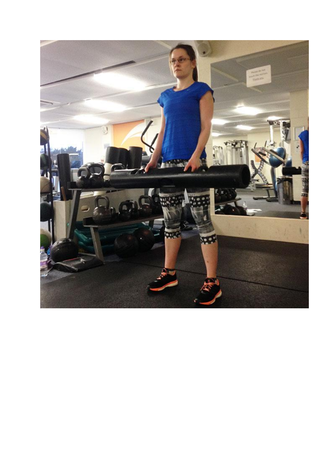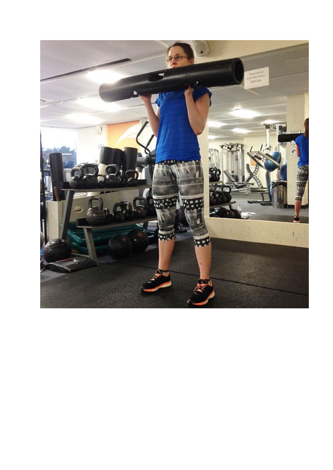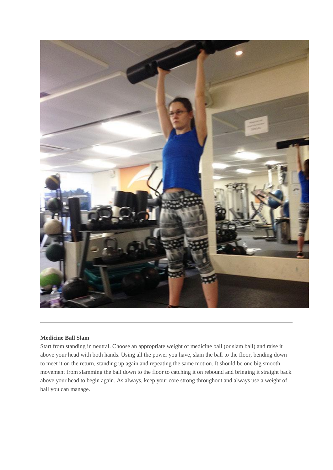

#### **Medicine Ball Slam**

Start from standing in neutral. Choose an appropriate weight of medicine ball (or slam ball) and raise it above your head with both hands. Using all the power you have, slam the ball to the floor, bending down to meet it on the return, standing up again and repeating the same motion. It should be one big smooth movement from slamming the ball down to the floor to catching it on rebound and bringing it straight back above your head to begin again. As always, keep your core strong throughout and always use a weight of ball you can manage.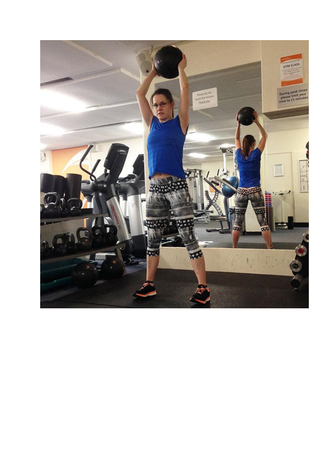